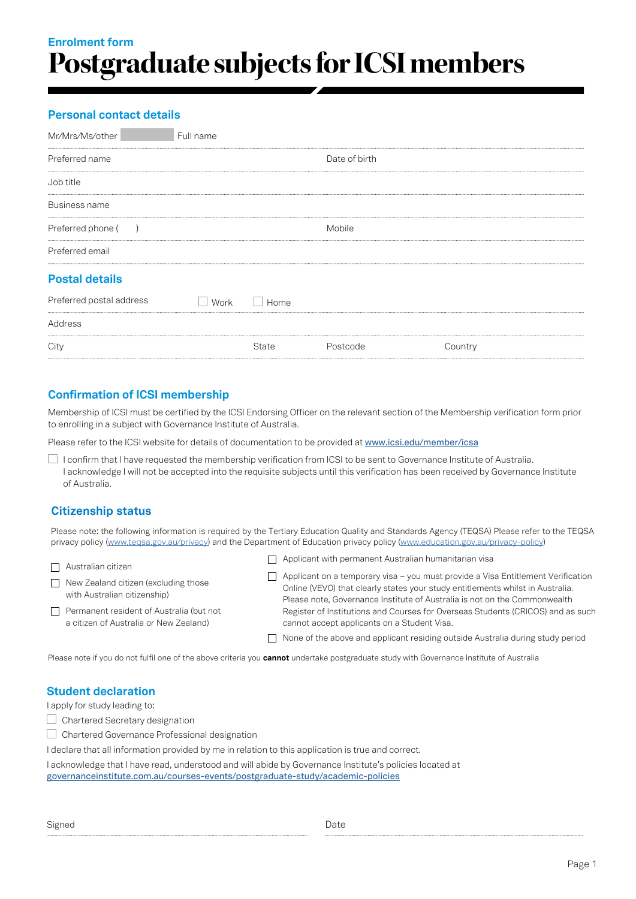# **Enrolment form Postgraduate subjects for ICSI members**

## **Personal contact details**

| Full name |       |               |         |
|-----------|-------|---------------|---------|
|           |       | Date of birth |         |
|           |       |               |         |
|           |       |               |         |
|           |       | Mobile        |         |
|           |       |               |         |
|           |       |               |         |
| Work      | Home  |               |         |
|           |       |               |         |
|           | State | Postcode      | Country |
|           |       |               |         |

## **Confirmation of ICSI membership**

Membership of ICSI must be certified by the ICSI Endorsing Officer on the relevant section of the Membership verification form prior to enrolling in a subject with Governance Institute of Australia.

Please refer to the ICSI website for details of documentation to be provided at [www.icsi.edu/member/icsa](www.icsi.edu/member/icsa/)

I confirm that I have requested the membership verification from ICSI to be sent to Governance Institute of Australia. I acknowledge I will not be accepted into the requisite subjects until this verification has been received by Governance Institute of Australia.

## **Citizenship status**

Please note: the following information is required by the Tertiary Education Quality and Standards Agency (TEQSA) Please refer to the TEQSA privacy policy [\(www.teqsa.gov.au/privacy\)](www.teqsa.gov.au/privacy) and the Department of Education privacy policy [\(www.education.gov.au/privacy-policy\)](www.education.gov.au/privacy-policy)

| $\Box$ Australian citizen                                                                 |        | $\Box$ Applicant with permanent Australian humanitarian visa                                                                                                                                                                                    |
|-------------------------------------------------------------------------------------------|--------|-------------------------------------------------------------------------------------------------------------------------------------------------------------------------------------------------------------------------------------------------|
| $\Box$ New Zealand citizen (excluding those<br>with Australian citizenship)               | $\Box$ | Applicant on a temporary visa - you must provide a Visa Entitlement Verification<br>Online (VEVO) that clearly states your study entitlements whilst in Australia.<br>Please note, Governance Institute of Australia is not on the Commonwealth |
| $\Box$ Permanent resident of Australia (but not<br>a citizen of Australia or New Zealand) |        | Register of Institutions and Courses for Overseas Students (CRICOS) and as such<br>cannot accept applicants on a Student Visa.                                                                                                                  |
|                                                                                           |        | □ None of the above and applicant residing outside Australia during study period                                                                                                                                                                |

Please note if you do not fulfil one of the above criteria you **cannot** undertake postgraduate study with Governance Institute of Australia

### **Student declaration**

I apply for study leading to:

- Chartered Secretary designation
- Chartered Governance Professional designation

I declare that all information provided by me in relation to this application is true and correct.

I acknowledge that I have read, understood and will abide by Governance Institute's policies located at [governanceinstitute.com.au/courses-events/postgraduate-study/academic-policies](https://www.governanceinstitute.com.au/courses-events/postgraduate-study/academic-policies/)

| Signed | Date |
|--------|------|
|--------|------|